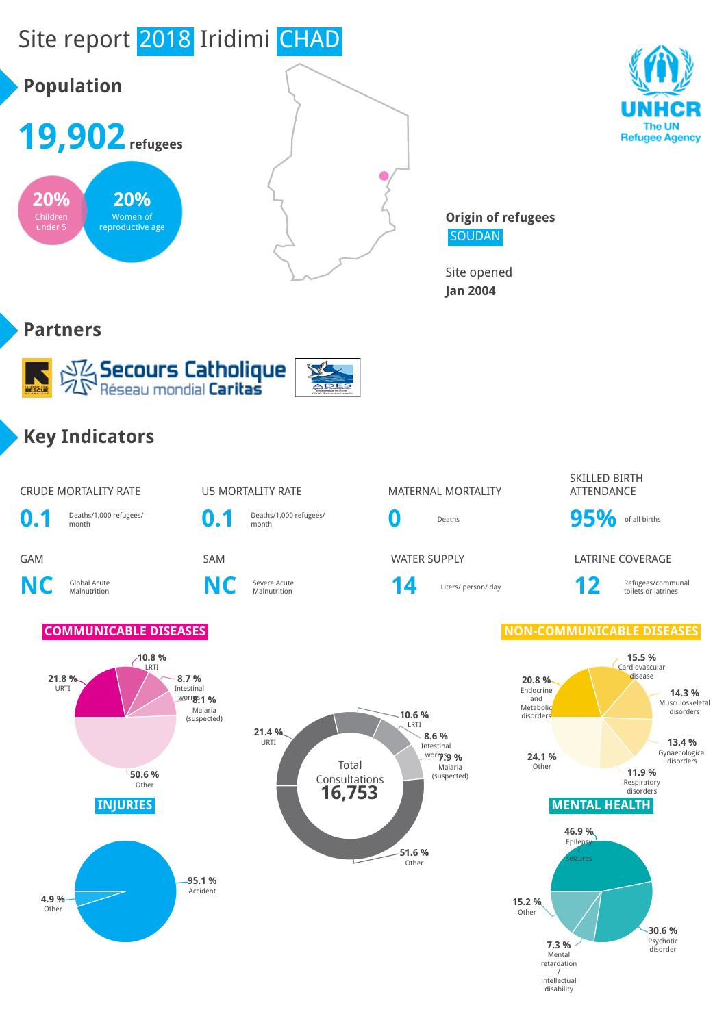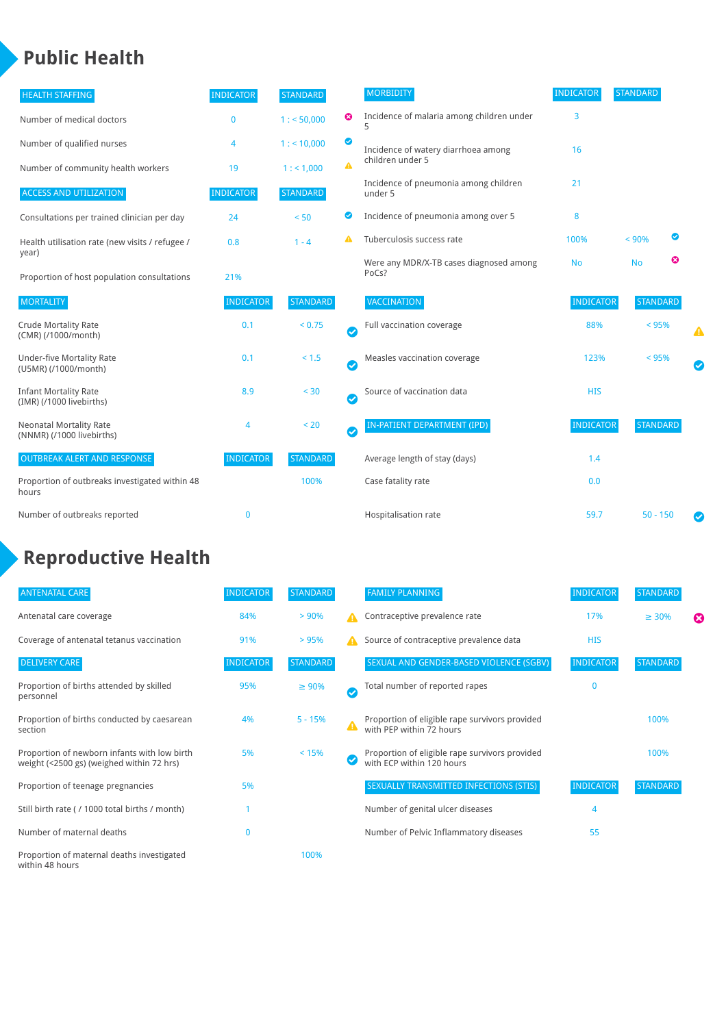## **Public Health**

| <b>HEALTH STAFFING</b>                                      | <b>INDICATOR</b> | <b>STANDARD</b> |           | <b>MORBIDITY</b>                                 | <b>INDICATOR</b> | <b>STANDARD</b> |   |   |
|-------------------------------------------------------------|------------------|-----------------|-----------|--------------------------------------------------|------------------|-----------------|---|---|
| Number of medical doctors                                   | $\mathbf 0$      | 1: 50,000       | ☺         | Incidence of malaria among children under        | 3                |                 |   |   |
| Number of qualified nurses                                  | 4                | $1:$ < 10,000   | ◎         | Incidence of watery diarrhoea among              | 16               |                 |   |   |
| Number of community health workers                          | 19               | 1: 1,000        | A         | children under 5                                 |                  |                 |   |   |
| <b>ACCESS AND UTILIZATION</b>                               | <b>INDICATOR</b> | <b>STANDARD</b> |           | Incidence of pneumonia among children<br>under 5 | 21               |                 |   |   |
| Consultations per trained clinician per day                 | 24               | < 50            | ◙         | Incidence of pneumonia among over 5              | 8                |                 |   |   |
| Health utilisation rate (new visits / refugee /             | 0.8              | $1 - 4$         |           | Tuberculosis success rate                        | 100%             | < 90%           | ☑ |   |
| year)<br>Proportion of host population consultations        | 21%              |                 |           | Were any MDR/X-TB cases diagnosed among<br>PoCs? | <b>No</b>        | <b>No</b>       | ☺ |   |
| <b>MORTALITY</b>                                            | <b>INDICATOR</b> | <b>STANDARD</b> |           | <b>VACCINATION</b>                               | <b>INDICATOR</b> | <b>STANDARD</b> |   |   |
| <b>Crude Mortality Rate</b><br>(CMR) (/1000/month)          | 0.1              | < 0.75          | $\bullet$ | Full vaccination coverage                        | 88%              | $< 95\%$        |   | Δ |
| <b>Under-five Mortality Rate</b><br>(U5MR) (/1000/month)    | 0.1              | $< 1.5$         | Ø         | Measles vaccination coverage                     | 123%             | < 95%           |   |   |
| <b>Infant Mortality Rate</b><br>(IMR) (/1000 livebirths)    | 8.9              | < 30            | $\bullet$ | Source of vaccination data                       | <b>HIS</b>       |                 |   |   |
| <b>Neonatal Mortality Rate</b><br>(NNMR) (/1000 livebirths) | 4                | < 20            | $\bullet$ | <b>IN-PATIENT DEPARTMENT (IPD)</b>               | <b>INDICATOR</b> | <b>STANDARD</b> |   |   |
| <b>OUTBREAK ALERT AND RESPONSE</b>                          | <b>INDICATOR</b> | <b>STANDARD</b> |           | Average length of stay (days)                    | 1.4              |                 |   |   |
| Proportion of outbreaks investigated within 48<br>hours     |                  | 100%            |           | Case fatality rate                               | 0.0              |                 |   |   |
| Number of outbreaks reported                                | $\mathbf 0$      |                 |           | Hospitalisation rate                             | 59.7             | $50 - 150$      |   |   |

# **Reproductive Health**

| <b>ANTENATAL CARE</b>                                                                     | <b>INDICATOR</b> | <b>STANDARD</b> |                       | <b>FAMILY PLANNING</b>                                                      | <b>INDICATOR</b> | <b>STANDARD</b> |   |
|-------------------------------------------------------------------------------------------|------------------|-----------------|-----------------------|-----------------------------------------------------------------------------|------------------|-----------------|---|
| Antenatal care coverage                                                                   | 84%              | > 90%           | А                     | Contraceptive prevalence rate                                               | 17%              | $\geq 30\%$     | ☎ |
| Coverage of antenatal tetanus vaccination                                                 | 91%              | >95%            | А                     | Source of contraceptive prevalence data                                     | <b>HIS</b>       |                 |   |
| <b>DELIVERY CARE</b>                                                                      | <b>INDICATOR</b> | <b>STANDARD</b> |                       | SEXUAL AND GENDER-BASED VIOLENCE (SGBV)                                     | <b>INDICATOR</b> | <b>STANDARD</b> |   |
| Proportion of births attended by skilled<br>personnel                                     | 95%              | $\geq 90\%$     | $\boldsymbol{\sigma}$ | Total number of reported rapes                                              | $\mathbf{0}$     |                 |   |
| Proportion of births conducted by caesarean<br>section                                    | 4%               | $5 - 15%$       | A                     | Proportion of eligible rape survivors provided<br>with PEP within 72 hours  |                  | 100%            |   |
| Proportion of newborn infants with low birth<br>weight (<2500 gs) (weighed within 72 hrs) | 5%               | < 15%           |                       | Proportion of eligible rape survivors provided<br>with ECP within 120 hours |                  | 100%            |   |
| Proportion of teenage pregnancies                                                         | 5%               |                 |                       | SEXUALLY TRANSMITTED INFECTIONS (STIS)                                      | <b>INDICATOR</b> | <b>STANDARD</b> |   |
| Still birth rate (/ 1000 total births / month)                                            |                  |                 |                       | Number of genital ulcer diseases                                            | 4                |                 |   |
| Number of maternal deaths                                                                 | 0                |                 |                       | Number of Pelvic Inflammatory diseases                                      | 55               |                 |   |
| Proportion of maternal deaths investigated<br>within 48 hours                             |                  | 100%            |                       |                                                                             |                  |                 |   |